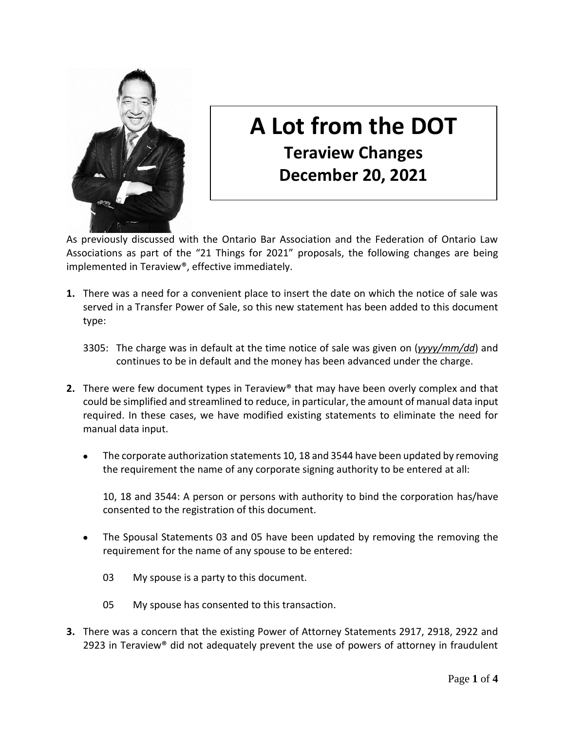

## **A Lot from the DOT Teraview Changes December 20, 2021**

As previously discussed with the Ontario Bar Association and the Federation of Ontario Law Associations as part of the "21 Things for 2021" proposals, the following changes are being implemented in Teraview®, effective immediately.

- **1.** There was a need for a convenient place to insert the date on which the notice of sale was served in a Transfer Power of Sale, so this new statement has been added to this document type:
	- 3305: The charge was in default at the time notice of sale was given on (*yyyy/mm/dd*) and continues to be in default and the money has been advanced under the charge.
- **2.** There were few document types in Teraview® that may have been overly complex and that could be simplified and streamlined to reduce, in particular, the amount of manual data input required. In these cases, we have modified existing statements to eliminate the need for manual data input.
	- The corporate authorization statements 10, 18 and 3544 have been updated by removing the requirement the name of any corporate signing authority to be entered at all:

10, 18 and 3544: A person or persons with authority to bind the corporation has/have consented to the registration of this document.

- The Spousal Statements 03 and 05 have been updated by removing the removing the requirement for the name of any spouse to be entered:
	- 03 My spouse is a party to this document.
	- 05 My spouse has consented to this transaction.
- **3.** There was a concern that the existing Power of Attorney Statements 2917, 2918, 2922 and 2923 in Teraview<sup>®</sup> did not adequately prevent the use of powers of attorney in fraudulent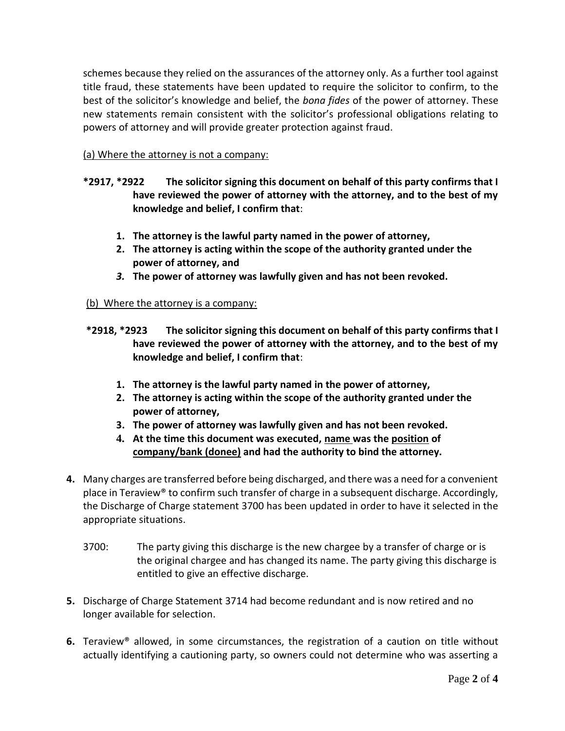schemes because they relied on the assurances of the attorney only. As a further tool against title fraud, these statements have been updated to require the solicitor to confirm, to the best of the solicitor's knowledge and belief, the *bona fides* of the power of attorney. These new statements remain consistent with the solicitor's professional obligations relating to powers of attorney and will provide greater protection against fraud.

(a) Where the attorney is not a company:

- **\*2917, \*2922 The solicitor signing this document on behalf of this party confirms that I have reviewed the power of attorney with the attorney, and to the best of my knowledge and belief, I confirm that**:
	- **1. The attorney is the lawful party named in the power of attorney,**
	- **2. The attorney is acting within the scope of the authority granted under the power of attorney, and**
	- *3.* **The power of attorney was lawfully given and has not been revoked.**

## (b) Where the attorney is a company:

- **\*2918, \*2923 The solicitor signing this document on behalf of this party confirms that I have reviewed the power of attorney with the attorney, and to the best of my knowledge and belief, I confirm that**:
	- **1. The attorney is the lawful party named in the power of attorney,**
	- **2. The attorney is acting within the scope of the authority granted under the power of attorney,**
	- **3. The power of attorney was lawfully given and has not been revoked.**
	- **4. At the time this document was executed, name was the position of company/bank (donee) and had the authority to bind the attorney.**
- **4.** Many charges are transferred before being discharged, and there was a need for a convenient place in Teraview® to confirm such transfer of charge in a subsequent discharge. Accordingly, the Discharge of Charge statement 3700 has been updated in order to have it selected in the appropriate situations.
	- 3700: The party giving this discharge is the new chargee by a transfer of charge or is the original chargee and has changed its name. The party giving this discharge is entitled to give an effective discharge.
- **5.** Discharge of Charge Statement 3714 had become redundant and is now retired and no longer available for selection.
- **6.** Teraview® allowed, in some circumstances, the registration of a caution on title without actually identifying a cautioning party, so owners could not determine who was asserting a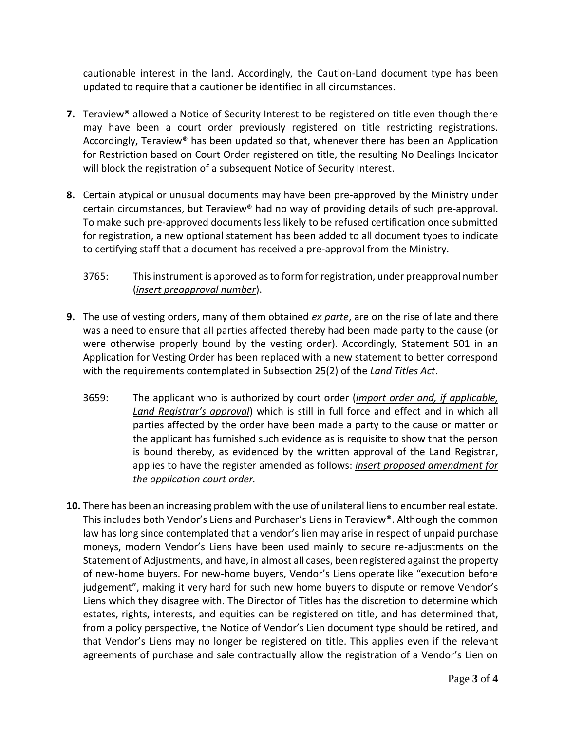cautionable interest in the land. Accordingly, the Caution-Land document type has been updated to require that a cautioner be identified in all circumstances.

- **7.** Teraview<sup>®</sup> allowed a Notice of Security Interest to be registered on title even though there may have been a court order previously registered on title restricting registrations. Accordingly, Teraview® has been updated so that, whenever there has been an Application for Restriction based on Court Order registered on title, the resulting No Dealings Indicator will block the registration of a subsequent Notice of Security Interest.
- **8.** Certain atypical or unusual documents may have been pre-approved by the Ministry under certain circumstances, but Teraview® had no way of providing details of such pre-approval. To make such pre-approved documents less likely to be refused certification once submitted for registration, a new optional statement has been added to all document types to indicate to certifying staff that a document has received a pre-approval from the Ministry.
	- 3765: This instrument is approved as to form for registration, under preapproval number (*insert preapproval number*).
- **9.** The use of vesting orders, many of them obtained *ex parte*, are on the rise of late and there was a need to ensure that all parties affected thereby had been made party to the cause (or were otherwise properly bound by the vesting order). Accordingly, Statement 501 in an Application for Vesting Order has been replaced with a new statement to better correspond with the requirements contemplated in Subsection 25(2) of the *Land Titles Act*.
	- 3659: The applicant who is authorized by court order (*import order and, if applicable, Land Registrar's approval*) which is still in full force and effect and in which all parties affected by the order have been made a party to the cause or matter or the applicant has furnished such evidence as is requisite to show that the person is bound thereby, as evidenced by the written approval of the Land Registrar, applies to have the register amended as follows: *insert proposed amendment for the application court order.*
- **10.** There has been an increasing problem with the use of unilateral liens to encumber real estate. This includes both Vendor's Liens and Purchaser's Liens in Teraview®. Although the common law has long since contemplated that a vendor's lien may arise in respect of unpaid purchase moneys, modern Vendor's Liens have been used mainly to secure re-adjustments on the Statement of Adjustments, and have, in almost all cases, been registered against the property of new-home buyers. For new-home buyers, Vendor's Liens operate like "execution before judgement", making it very hard for such new home buyers to dispute or remove Vendor's Liens which they disagree with. The Director of Titles has the discretion to determine which estates, rights, interests, and equities can be registered on title, and has determined that, from a policy perspective, the Notice of Vendor's Lien document type should be retired, and that Vendor's Liens may no longer be registered on title. This applies even if the relevant agreements of purchase and sale contractually allow the registration of a Vendor's Lien on